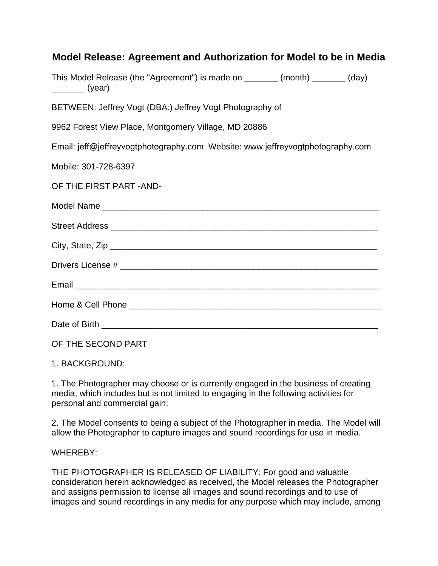| Model Release: Agreement and Authorization for Model to be in Media                                                                                                                                                                                                                                                                                                                                                                                                                                   |  |  |  |  |
|-------------------------------------------------------------------------------------------------------------------------------------------------------------------------------------------------------------------------------------------------------------------------------------------------------------------------------------------------------------------------------------------------------------------------------------------------------------------------------------------------------|--|--|--|--|
| This Model Release (the "Agreement") is made on _______ (month) _______ (day)<br>$\frac{1}{\sqrt{1-\frac{1}{2}}\sqrt{1-\frac{1}{2}}\sqrt{1-\frac{1}{2}}\sqrt{1-\frac{1}{2}}\sqrt{1-\frac{1}{2}}\sqrt{1-\frac{1}{2}}\sqrt{1-\frac{1}{2}}\sqrt{1-\frac{1}{2}}\sqrt{1-\frac{1}{2}}\sqrt{1-\frac{1}{2}}\sqrt{1-\frac{1}{2}}\sqrt{1-\frac{1}{2}}\sqrt{1-\frac{1}{2}}\sqrt{1-\frac{1}{2}}\sqrt{1-\frac{1}{2}}\sqrt{1-\frac{1}{2}}\sqrt{1-\frac{1}{2}}\sqrt{1-\frac{1}{2}}\sqrt{1-\frac{1}{2}}\sqrt{1-\frac$ |  |  |  |  |
| BETWEEN: Jeffrey Vogt (DBA:) Jeffrey Vogt Photography of                                                                                                                                                                                                                                                                                                                                                                                                                                              |  |  |  |  |
| 9962 Forest View Place, Montgomery Village, MD 20886                                                                                                                                                                                                                                                                                                                                                                                                                                                  |  |  |  |  |
| Email: jeff@jeffreyvogtphotography.com Website: www.jeffreyvogtphotography.com                                                                                                                                                                                                                                                                                                                                                                                                                        |  |  |  |  |
| Mobile: 301-728-6397                                                                                                                                                                                                                                                                                                                                                                                                                                                                                  |  |  |  |  |
| OF THE FIRST PART - AND-                                                                                                                                                                                                                                                                                                                                                                                                                                                                              |  |  |  |  |
|                                                                                                                                                                                                                                                                                                                                                                                                                                                                                                       |  |  |  |  |
|                                                                                                                                                                                                                                                                                                                                                                                                                                                                                                       |  |  |  |  |
|                                                                                                                                                                                                                                                                                                                                                                                                                                                                                                       |  |  |  |  |
|                                                                                                                                                                                                                                                                                                                                                                                                                                                                                                       |  |  |  |  |
|                                                                                                                                                                                                                                                                                                                                                                                                                                                                                                       |  |  |  |  |
|                                                                                                                                                                                                                                                                                                                                                                                                                                                                                                       |  |  |  |  |
|                                                                                                                                                                                                                                                                                                                                                                                                                                                                                                       |  |  |  |  |
| OF THE SECOND PART                                                                                                                                                                                                                                                                                                                                                                                                                                                                                    |  |  |  |  |

1. BACKGROUND:

1. The Photographer may choose or is currently engaged in the business of creating media, which includes but is not limited to engaging in the following activities for personal and commercial gain:

2. The Model consents to being a subject of the Photographer in media. The Model will allow the Photographer to capture images and sound recordings for use in media.

WHEREBY:

THE PHOTOGRAPHER IS RELEASED OF LIABILITY: For good and valuable consideration herein acknowledged as received, the Model releases the Photographer and assigns permission to license all images and sound recordings and to use of images and sound recordings in any media for any purpose which may include, among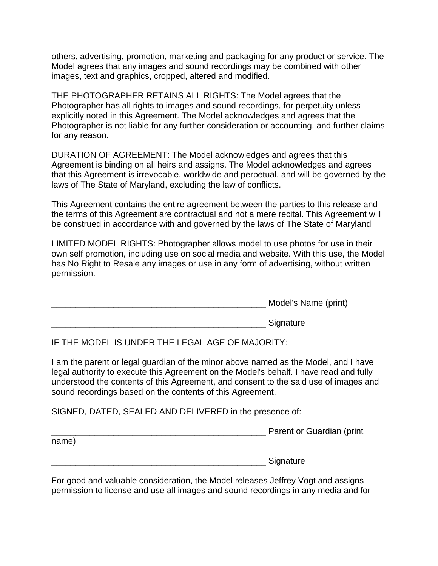others, advertising, promotion, marketing and packaging for any product or service. The Model agrees that any images and sound recordings may be combined with other images, text and graphics, cropped, altered and modified.

THE PHOTOGRAPHER RETAINS ALL RIGHTS: The Model agrees that the Photographer has all rights to images and sound recordings, for perpetuity unless explicitly noted in this Agreement. The Model acknowledges and agrees that the Photographer is not liable for any further consideration or accounting, and further claims for any reason.

DURATION OF AGREEMENT: The Model acknowledges and agrees that this Agreement is binding on all heirs and assigns. The Model acknowledges and agrees that this Agreement is irrevocable, worldwide and perpetual, and will be governed by the laws of The State of Maryland, excluding the law of conflicts.

This Agreement contains the entire agreement between the parties to this release and the terms of this Agreement are contractual and not a mere recital. This Agreement will be construed in accordance with and governed by the laws of The State of Maryland

LIMITED MODEL RIGHTS: Photographer allows model to use photos for use in their own self promotion, including use on social media and website. With this use, the Model has No Right to Resale any images or use in any form of advertising, without written permission.

| Model's Name (print) |
|----------------------|
|                      |

Signature

IF THE MODEL IS UNDER THE LEGAL AGE OF MAJORITY:

I am the parent or legal guardian of the minor above named as the Model, and I have legal authority to execute this Agreement on the Model's behalf. I have read and fully understood the contents of this Agreement, and consent to the said use of images and sound recordings based on the contents of this Agreement.

SIGNED, DATED, SEALED AND DELIVERED in the presence of:

extending the Parent or Guardian (print

name)

enter a la construcción de Signature

For good and valuable consideration, the Model releases Jeffrey Vogt and assigns permission to license and use all images and sound recordings in any media and for